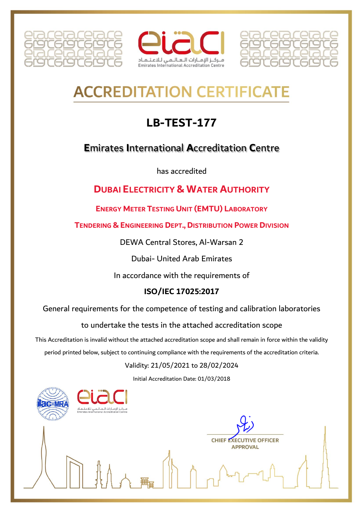





# **ACCREDITATION CERTIFICAT**

# **LB-TEST-177**

# **E**mirates **I**nternational **A**ccreditation **C**entre

has accredited

# **DUBAI ELECTRICITY & WATER AUTHORITY**

**ENERGY METER TESTING UNIT (EMTU) LABORATORY** 

**TENDERING &ENGINEERING DEPT., DISTRIBUTION POWER DIVISION**

DEWA Central Stores, Al-Warsan 2

Dubai- United Arab Emirates

In accordance with the requirements of

# **ISO/IEC 17025:2017**

General requirements for the competence of testing and calibration laboratories

to undertake the tests in the attached accreditation scope

This Accreditation is invalid without the attached accreditation scope and shall remain in force within the validity period printed below, subject to continuing compliance with the requirements of the accreditation criteria.

#### Validity: 21/05/2021 to 28/02/2024

Initial Accreditation Date: 01/03/2018



**CHIEF EXECUTIVE OFFICER APPROVAL**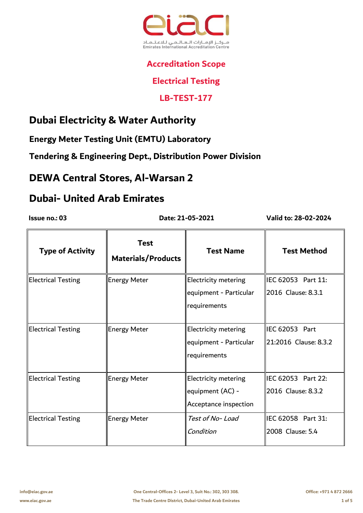

#### **Electrical Testing**

#### **LB-TEST-177**

# **Dubai Electricity & Water Authority**

**Energy Meter Testing Unit (EMTU) Laboratory** 

**Tendering & Engineering Dept., Distribution Power Division**

## **DEWA Central Stores, Al-Warsan 2**

# **Dubai- United Arab Emirates**

 **Date: 21-05-2021**

| <b>Type of Activity</b>   | <b>Test</b><br><b>Materials/Products</b> | <b>Test Name</b>            | <b>Test Method</b>    |
|---------------------------|------------------------------------------|-----------------------------|-----------------------|
| <b>Electrical Testing</b> | <b>Energy Meter</b>                      | <b>Electricity metering</b> | IEC 62053 Part 11:    |
|                           |                                          | equipment - Particular      | 2016 Clause: 8.3.1    |
|                           |                                          | requirements                |                       |
| <b>Electrical Testing</b> | <b>Energy Meter</b>                      | <b>Electricity metering</b> | IEC 62053 Part        |
|                           |                                          | equipment - Particular      | 21:2016 Clause: 8.3.2 |
|                           |                                          | requirements                |                       |
| <b>Electrical Testing</b> | <b>Energy Meter</b>                      | <b>Electricity metering</b> | IEC 62053 Part 22:    |
|                           |                                          | equipment (AC) -            | 2016 Clause: 8.3.2    |
|                           |                                          | Acceptance inspection       |                       |
| <b>Electrical Testing</b> | <b>Energy Meter</b>                      | Test of No- Load            | IEC 62058 Part 31:    |
|                           |                                          | Condition                   | 2008 Clause: 5.4      |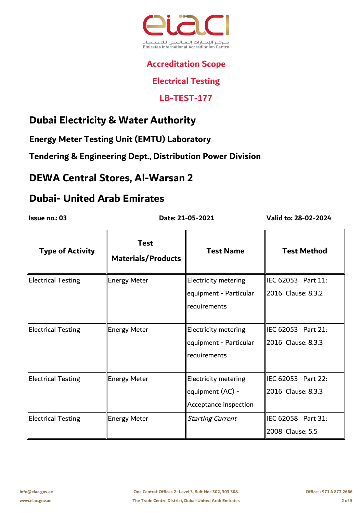

#### **Electrical Testing**

#### **LB-TEST-177**

# **Dubai Electricity & Water Authority**

**Energy Meter Testing Unit (EMTU) Laboratory** 

**Tendering & Engineering Dept., Distribution Power Division**

## **DEWA Central Stores, Al-Warsan 2**

# **Dubai- United Arab Emirates**

 **Date: 21-05-2021**

| <b>Type of Activity</b>   | <b>Test</b><br><b>Materials/Products</b> | <b>Test Name</b>            | <b>Test Method</b> |
|---------------------------|------------------------------------------|-----------------------------|--------------------|
| <b>Electrical Testing</b> | <b>Energy Meter</b>                      | Electricity metering        | IEC 62053 Part 11: |
|                           |                                          | equipment - Particular      | 2016 Clause: 8.3.2 |
|                           |                                          | requirements                |                    |
| <b>Electrical Testing</b> | <b>Energy Meter</b>                      | Electricity metering        | IEC 62053 Part 21: |
|                           |                                          | equipment - Particular      | 2016 Clause: 8.3.3 |
|                           |                                          | requirements                |                    |
| <b>Electrical Testing</b> | <b>Energy Meter</b>                      | <b>Electricity metering</b> | IEC 62053 Part 22: |
|                           |                                          | equipment (AC) -            | 2016 Clause: 8.3.3 |
|                           |                                          | Acceptance inspection       |                    |
| <b>Electrical Testing</b> | <b>Energy Meter</b>                      | <b>Starting Current</b>     | IEC 62058 Part 31: |
|                           |                                          |                             | 2008 Clause: 5.5   |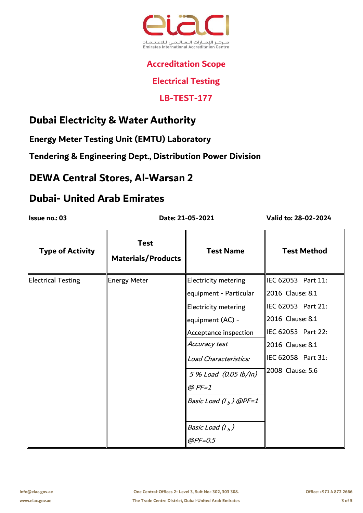

#### **Electrical Testing**

#### **LB-TEST-177**

# **Dubai Electricity & Water Authority**

**Energy Meter Testing Unit (EMTU) Laboratory** 

**Tendering & Engineering Dept., Distribution Power Division**

## **DEWA Central Stores, Al-Warsan 2**

# **Dubai- United Arab Emirates**

 **Date: 21-05-2021**

| <b>Type of Activity</b>   | <b>Test</b><br><b>Materials/Products</b> | <b>Test Name</b>                   | <b>Test Method</b> |
|---------------------------|------------------------------------------|------------------------------------|--------------------|
| <b>Electrical Testing</b> | <b>Energy Meter</b>                      | <b>Electricity metering</b>        | IEC 62053 Part 11: |
|                           |                                          | equipment - Particular             | 2016 Clause: 8.1   |
|                           |                                          | <b>Electricity metering</b>        | IEC 62053 Part 21: |
|                           |                                          | equipment (AC) -                   | 2016 Clause: 8.1   |
|                           |                                          | Acceptance inspection              | IEC 62053 Part 22: |
|                           |                                          | Accuracy test                      | 2016 Clause: 8.1   |
|                           |                                          | Load Characteristics:              | IEC 62058 Part 31: |
|                           |                                          | 5 % Load (0.05 lb/ln)              | 2008 Clause: 5.6   |
|                           |                                          | $@$ PF=1                           |                    |
|                           |                                          | Basic Load (I <sub>b</sub> ) @PF=1 |                    |
|                           |                                          |                                    |                    |
|                           |                                          | Basic Load (I <sub>b</sub> )       |                    |
|                           |                                          | $@PF=0.5$                          |                    |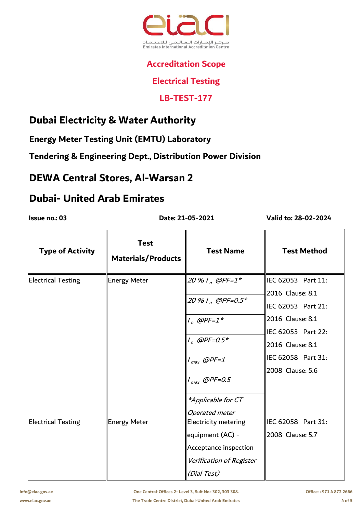

#### **Electrical Testing**

#### **LB-TEST-177**

# **Dubai Electricity & Water Authority**

**Energy Meter Testing Unit (EMTU) Laboratory** 

**Tendering & Engineering Dept., Distribution Power Division**

# **DEWA Central Stores, Al-Warsan 2**

# **Dubai- United Arab Emirates**

 **Date: 21-05-2021**

| <b>Type of Activity</b>   | <b>Test</b><br><b>Materials/Products</b> | <b>Test Name</b>                                                                                                                                                    | <b>Test Method</b>                                                                                                                                                   |
|---------------------------|------------------------------------------|---------------------------------------------------------------------------------------------------------------------------------------------------------------------|----------------------------------------------------------------------------------------------------------------------------------------------------------------------|
| <b>Electrical Testing</b> | <b>Energy Meter</b>                      | 20 % I <sub>n</sub> @PF=1*<br>20 % I , @PF=0.5*<br>$I_n$ @PF=1*<br>$1_{n}$ @PF=0.5*<br>$I_{max}$ @PF=1<br>$I_{max}$ @PF=0.5<br>*Applicable for CT<br>Operated meter | IEC 62053 Part 11:<br>2016 Clause: 8.1<br>IEC 62053 Part 21:<br>2016 Clause: 8.1<br>IEC 62053 Part 22:<br>2016 Clause: 8.1<br>IEC 62058 Part 31:<br>2008 Clause: 5.6 |
| <b>Electrical Testing</b> | Energy Meter                             | <b>Electricity metering</b><br>equipment (AC) -<br>Acceptance inspection<br>Verification of Register<br>(Dial Test)                                                 | IEC 62058 Part 31:<br>2008 Clause: 5.7                                                                                                                               |